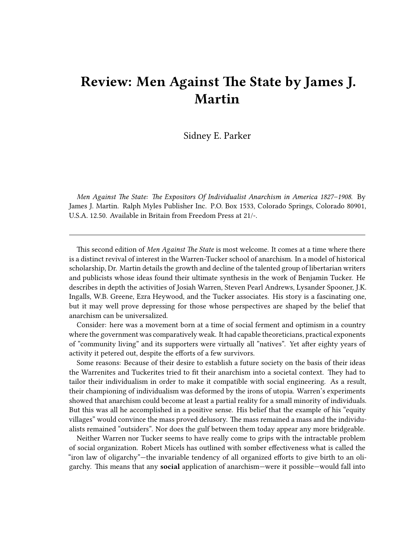## **Review: Men Against The State by James J. Martin**

Sidney E. Parker

*Men Against The State: The Expositors Of Individualist Anarchism in America 1827–1908*. By James J. Martin. Ralph Myles Publisher Inc. P.O. Box 1533, Colorado Springs, Colorado 80901, U.S.A. 12.50. Available in Britain from Freedom Press at 21/-.

This second edition of *Men Against The State* is most welcome. It comes at a time where there is a distinct revival of interest in the Warren-Tucker school of anarchism. In a model of historical scholarship, Dr. Martin details the growth and decline of the talented group of libertarian writers and publicists whose ideas found their ultimate synthesis in the work of Benjamin Tucker. He describes in depth the activities of Josiah Warren, Steven Pearl Andrews, Lysander Spooner, J.K. Ingalls, W.B. Greene, Ezra Heywood, and the Tucker associates. His story is a fascinating one, but it may well prove depressing for those whose perspectives are shaped by the belief that anarchism can be universalized.

Consider: here was a movement born at a time of social ferment and optimism in a country where the government was comparatively weak. It had capable theoreticians, practical exponents of "community living" and its supporters were virtually all "natives". Yet after eighty years of activity it petered out, despite the efforts of a few survivors.

Some reasons: Because of their desire to establish a future society on the basis of their ideas the Warrenites and Tuckerites tried to fit their anarchism into a societal context. They had to tailor their individualism in order to make it compatible with social engineering. As a result, their championing of individualism was deformed by the irons of utopia. Warren's experiments showed that anarchism could become at least a partial reality for a small minority of individuals. But this was all he accomplished in a positive sense. His belief that the example of his "equity villages" would convince the mass proved delusory. The mass remained a mass and the individualists remained "outsiders". Nor does the gulf between them today appear any more bridgeable.

Neither Warren nor Tucker seems to have really come to grips with the intractable problem of social organization. Robert Micels has outlined with somber effectiveness what is called the "iron law of oligarchy"—the invariable tendency of all organized efforts to give birth to an oligarchy. This means that any **social** application of anarchism—were it possible—would fall into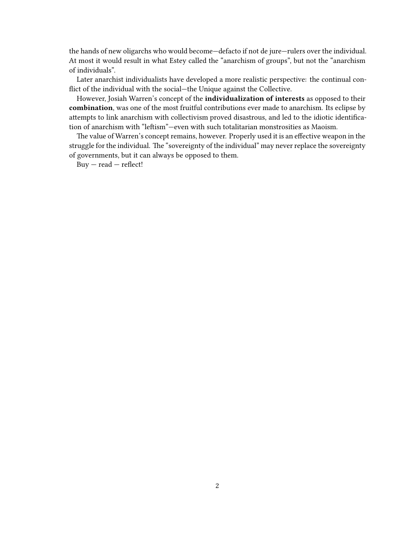the hands of new oligarchs who would become—defacto if not de jure—rulers over the individual. At most it would result in what Estey called the "anarchism of groups", but not the "anarchism of individuals".

Later anarchist individualists have developed a more realistic perspective: the continual conflict of the individual with the social—the Unique against the Collective.

However, Josiah Warren's concept of the **individualization of interests** as opposed to their **combination**, was one of the most fruitful contributions ever made to anarchism. Its eclipse by attempts to link anarchism with collectivism proved disastrous, and led to the idiotic identification of anarchism with "leftism"—even with such totalitarian monstrosities as Maoism.

The value of Warren's concept remains, however. Properly used it is an effective weapon in the struggle for the individual. The "sovereignty of the individual" may never replace the sovereignty of governments, but it can always be opposed to them.

 $Buy - read - reflect!$